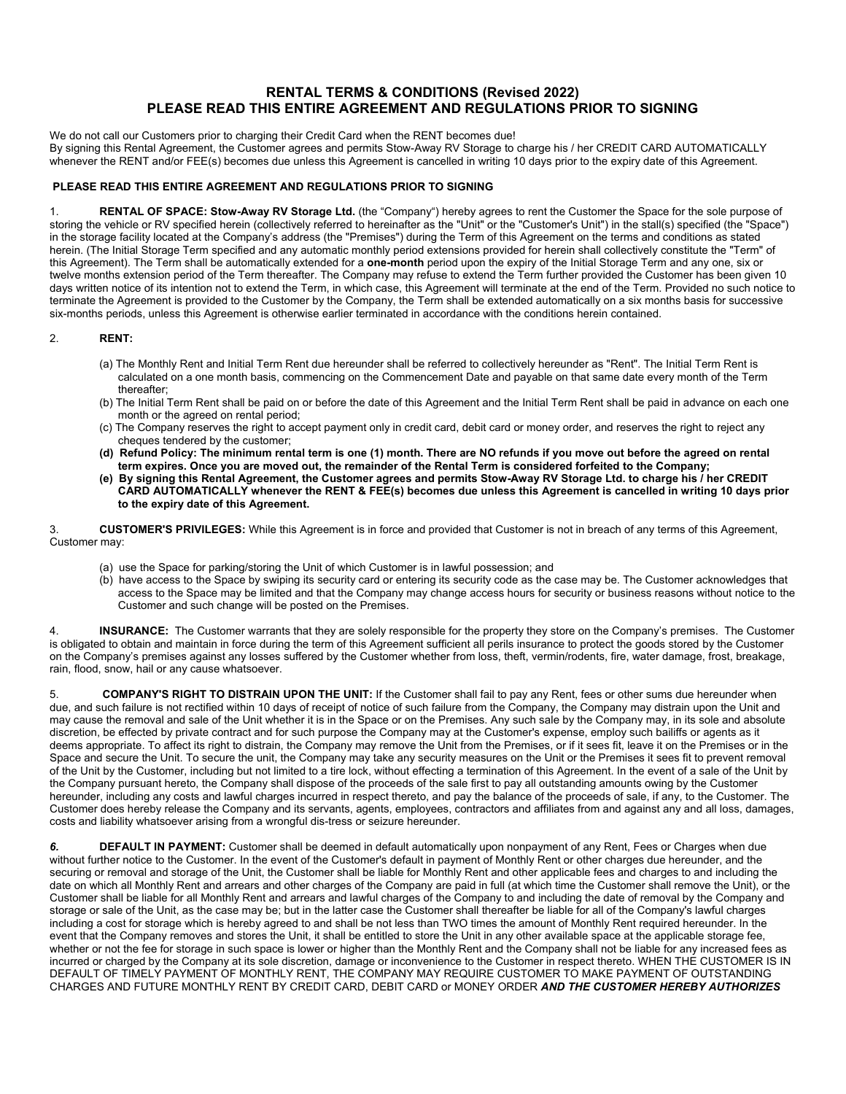## **RENTAL TERMS & CONDITIONS (Revised 2022) PLEASE READ THIS ENTIRE AGREEMENT AND REGULATIONS PRIOR TO SIGNING**

We do not call our Customers prior to charging their Credit Card when the RENT becomes due! By signing this Rental Agreement, the Customer agrees and permits Stow-Away RV Storage to charge his / her CREDIT CARD AUTOMATICALLY whenever the RENT and/or FEE(s) becomes due unless this Agreement is cancelled in writing 10 days prior to the expiry date of this Agreement.

### **PLEASE READ THIS ENTIRE AGREEMENT AND REGULATIONS PRIOR TO SIGNING**

1. **RENTAL OF SPACE: Stow-Away RV Storage Ltd.** (the "Company") hereby agrees to rent the Customer the Space for the sole purpose of storing the vehicle or RV specified herein (collectively referred to hereinafter as the "Unit" or the "Customer's Unit") in the stall(s) specified (the "Space") in the storage facility located at the Company's address (the "Premises") during the Term of this Agreement on the terms and conditions as stated herein. (The Initial Storage Term specified and any automatic monthly period extensions provided for herein shall collectively constitute the "Term" of this Agreement). The Term shall be automatically extended for a **one-month** period upon the expiry of the Initial Storage Term and any one, six or twelve months extension period of the Term thereafter. The Company may refuse to extend the Term further provided the Customer has been given 10 days written notice of its intention not to extend the Term, in which case, this Agreement will terminate at the end of the Term. Provided no such notice to terminate the Agreement is provided to the Customer by the Company, the Term shall be extended automatically on a six months basis for successive six-months periods, unless this Agreement is otherwise earlier terminated in accordance with the conditions herein contained.

### 2. **RENT:**

- (a) The Monthly Rent and Initial Term Rent due hereunder shall be referred to collectively hereunder as "Rent". The Initial Term Rent is calculated on a one month basis, commencing on the Commencement Date and payable on that same date every month of the Term thereafter;
- (b) The Initial Term Rent shall be paid on or before the date of this Agreement and the Initial Term Rent shall be paid in advance on each one month or the agreed on rental period;
- (c) The Company reserves the right to accept payment only in credit card, debit card or money order, and reserves the right to reject any cheques tendered by the customer;
- **(d) Refund Policy: The minimum rental term is one (1) month. There are NO refunds if you move out before the agreed on rental term expires. Once you are moved out, the remainder of the Rental Term is considered forfeited to the Company;**
- **(e) By signing this Rental Agreement, the Customer agrees and permits Stow-Away RV Storage Ltd. to charge his / her CREDIT CARD AUTOMATICALLY whenever the RENT & FEE(s) becomes due unless this Agreement is cancelled in writing 10 days prior to the expiry date of this Agreement.**

3. **CUSTOMER'S PRIVILEGES:** While this Agreement is in force and provided that Customer is not in breach of any terms of this Agreement, Customer may:

- (a) use the Space for parking/storing the Unit of which Customer is in lawful possession; and
- (b) have access to the Space by swiping its security card or entering its security code as the case may be. The Customer acknowledges that access to the Space may be limited and that the Company may change access hours for security or business reasons without notice to the Customer and such change will be posted on the Premises.

4. **INSURANCE:** The Customer warrants that they are solely responsible for the property they store on the Company's premises. The Customer is obligated to obtain and maintain in force during the term of this Agreement sufficient all perils insurance to protect the goods stored by the Customer on the Company's premises against any losses suffered by the Customer whether from loss, theft, vermin/rodents, fire, water damage, frost, breakage, rain, flood, snow, hail or any cause whatsoever.

5. **COMPANY'S RIGHT TO DISTRAIN UPON THE UNIT:** If the Customer shall fail to pay any Rent, fees or other sums due hereunder when due, and such failure is not rectified within 10 days of receipt of notice of such failure from the Company, the Company may distrain upon the Unit and may cause the removal and sale of the Unit whether it is in the Space or on the Premises. Any such sale by the Company may, in its sole and absolute discretion, be effected by private contract and for such purpose the Company may at the Customer's expense, employ such bailiffs or agents as it deems appropriate. To affect its right to distrain, the Company may remove the Unit from the Premises, or if it sees fit, leave it on the Premises or in the Space and secure the Unit. To secure the unit, the Company may take any security measures on the Unit or the Premises it sees fit to prevent removal of the Unit by the Customer, including but not limited to a tire lock, without effecting a termination of this Agreement. In the event of a sale of the Unit by the Company pursuant hereto, the Company shall dispose of the proceeds of the sale first to pay all outstanding amounts owing by the Customer hereunder, including any costs and lawful charges incurred in respect thereto, and pay the balance of the proceeds of sale, if any, to the Customer. The Customer does hereby release the Company and its servants, agents, employees, contractors and affiliates from and against any and all loss, damages, costs and liability whatsoever arising from a wrongful dis-tress or seizure hereunder.

*6.* **DEFAULT IN PAYMENT:** Customer shall be deemed in default automatically upon nonpayment of any Rent, Fees or Charges when due without further notice to the Customer. In the event of the Customer's default in payment of Monthly Rent or other charges due hereunder, and the securing or removal and storage of the Unit, the Customer shall be liable for Monthly Rent and other applicable fees and charges to and including the date on which all Monthly Rent and arrears and other charges of the Company are paid in full (at which time the Customer shall remove the Unit), or the Customer shall be liable for all Monthly Rent and arrears and lawful charges of the Company to and including the date of removal by the Company and storage or sale of the Unit, as the case may be; but in the latter case the Customer shall thereafter be liable for all of the Company's lawful charges including a cost for storage which is hereby agreed to and shall be not less than TWO times the amount of Monthly Rent required hereunder. In the event that the Company removes and stores the Unit, it shall be entitled to store the Unit in any other available space at the applicable storage fee, whether or not the fee for storage in such space is lower or higher than the Monthly Rent and the Company shall not be liable for any increased fees as incurred or charged by the Company at its sole discretion, damage or inconvenience to the Customer in respect thereto. WHEN THE CUSTOMER IS IN DEFAULT OF TIMELY PAYMENT OF MONTHLY RENT, THE COMPANY MAY REQUIRE CUSTOMER TO MAKE PAYMENT OF OUTSTANDING CHARGES AND FUTURE MONTHLY RENT BY CREDIT CARD, DEBIT CARD or MONEY ORDER *AND THE CUSTOMER HEREBY AUTHORIZES*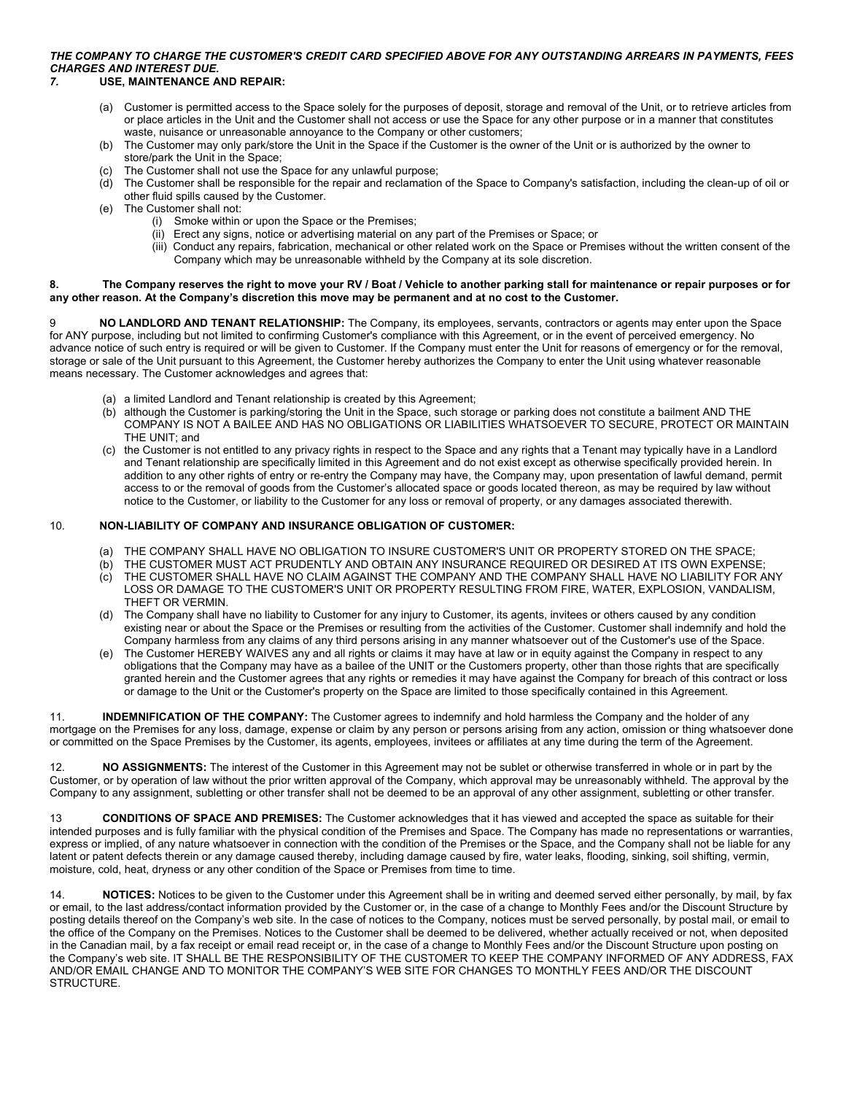# *THE COMPANY TO CHARGE THE CUSTOMER'S CREDIT CARD SPECIFIED ABOVE FOR ANY OUTSTANDING ARREARS IN PAYMENTS, FEES CHARGES AND INTEREST DUE.*

### *7.* **USE, MAINTENANCE AND REPAIR:**

- (a) Customer is permitted access to the Space solely for the purposes of deposit, storage and removal of the Unit, or to retrieve articles from or place articles in the Unit and the Customer shall not access or use the Space for any other purpose or in a manner that constitutes waste, nuisance or unreasonable annoyance to the Company or other customers;
- (b) The Customer may only park/store the Unit in the Space if the Customer is the owner of the Unit or is authorized by the owner to store/park the Unit in the Space;
- (c) The Customer shall not use the Space for any unlawful purpose;
- (d) The Customer shall be responsible for the repair and reclamation of the Space to Company's satisfaction, including the clean-up of oil or other fluid spills caused by the Customer.
- (e) The Customer shall not:
	- (i) Smoke within or upon the Space or the Premises;
	- (ii) Erect any signs, notice or advertising material on any part of the Premises or Space; or
	- (iii) Conduct any repairs, fabrication, mechanical or other related work on the Space or Premises without the written consent of the Company which may be unreasonable withheld by the Company at its sole discretion.

#### **8. The Company reserves the right to move your RV / Boat / Vehicle to another parking stall for maintenance or repair purposes or for any other reason. At the Company's discretion this move may be permanent and at no cost to the Customer.**

9 **NO LANDLORD AND TENANT RELATIONSHIP:** The Company, its employees, servants, contractors or agents may enter upon the Space for ANY purpose, including but not limited to confirming Customer's compliance with this Agreement, or in the event of perceived emergency. No advance notice of such entry is required or will be given to Customer. If the Company must enter the Unit for reasons of emergency or for the removal, storage or sale of the Unit pursuant to this Agreement, the Customer hereby authorizes the Company to enter the Unit using whatever reasonable means necessary. The Customer acknowledges and agrees that:

- (a) a limited Landlord and Tenant relationship is created by this Agreement;
- (b) although the Customer is parking/storing the Unit in the Space, such storage or parking does not constitute a bailment AND THE COMPANY IS NOT A BAILEE AND HAS NO OBLIGATIONS OR LIABILITIES WHATSOEVER TO SECURE, PROTECT OR MAINTAIN THE UNIT; and
- (c) the Customer is not entitled to any privacy rights in respect to the Space and any rights that a Tenant may typically have in a Landlord and Tenant relationship are specifically limited in this Agreement and do not exist except as otherwise specifically provided herein. In addition to any other rights of entry or re-entry the Company may have, the Company may, upon presentation of lawful demand, permit access to or the removal of goods from the Customer's allocated space or goods located thereon, as may be required by law without notice to the Customer, or liability to the Customer for any loss or removal of property, or any damages associated therewith.

#### 10. **NON-LIABILITY OF COMPANY AND INSURANCE OBLIGATION OF CUSTOMER:**

- (a) THE COMPANY SHALL HAVE NO OBLIGATION TO INSURE CUSTOMER'S UNIT OR PROPERTY STORED ON THE SPACE;
- (b) THE CUSTOMER MUST ACT PRUDENTLY AND OBTAIN ANY INSURANCE REQUIRED OR DESIRED AT ITS OWN EXPENSE;
- (c) THE CUSTOMER SHALL HAVE NO CLAIM AGAINST THE COMPANY AND THE COMPANY SHALL HAVE NO LIABILITY FOR ANY LOSS OR DAMAGE TO THE CUSTOMER'S UNIT OR PROPERTY RESULTING FROM FIRE, WATER, EXPLOSION, VANDALISM, THEFT OR VERMIN.
- (d) The Company shall have no liability to Customer for any injury to Customer, its agents, invitees or others caused by any condition existing near or about the Space or the Premises or resulting from the activities of the Customer. Customer shall indemnify and hold the Company harmless from any claims of any third persons arising in any manner whatsoever out of the Customer's use of the Space.
- (e) The Customer HEREBY WAIVES any and all rights or claims it may have at law or in equity against the Company in respect to any obligations that the Company may have as a bailee of the UNIT or the Customers property, other than those rights that are specifically granted herein and the Customer agrees that any rights or remedies it may have against the Company for breach of this contract or loss or damage to the Unit or the Customer's property on the Space are limited to those specifically contained in this Agreement.

11. **INDEMNIFICATION OF THE COMPANY:** The Customer agrees to indemnify and hold harmless the Company and the holder of any mortgage on the Premises for any loss, damage, expense or claim by any person or persons arising from any action, omission or thing whatsoever done or committed on the Space Premises by the Customer, its agents, employees, invitees or affiliates at any time during the term of the Agreement.

12. **NO ASSIGNMENTS:** The interest of the Customer in this Agreement may not be sublet or otherwise transferred in whole or in part by the Customer, or by operation of law without the prior written approval of the Company, which approval may be unreasonably withheld. The approval by the Company to any assignment, subletting or other transfer shall not be deemed to be an approval of any other assignment, subletting or other transfer.

13 **CONDITIONS OF SPACE AND PREMISES:** The Customer acknowledges that it has viewed and accepted the space as suitable for their intended purposes and is fully familiar with the physical condition of the Premises and Space. The Company has made no representations or warranties, express or implied, of any nature whatsoever in connection with the condition of the Premises or the Space, and the Company shall not be liable for any latent or patent defects therein or any damage caused thereby, including damage caused by fire, water leaks, flooding, sinking, soil shifting, vermin, moisture, cold, heat, dryness or any other condition of the Space or Premises from time to time.

14. **NOTICES:** Notices to be given to the Customer under this Agreement shall be in writing and deemed served either personally, by mail, by fax or email, to the last address/contact information provided by the Customer or, in the case of a change to Monthly Fees and/or the Discount Structure by posting details thereof on the Company's web site. In the case of notices to the Company, notices must be served personally, by postal mail, or email to the office of the Company on the Premises. Notices to the Customer shall be deemed to be delivered, whether actually received or not, when deposited in the Canadian mail, by a fax receipt or email read receipt or, in the case of a change to Monthly Fees and/or the Discount Structure upon posting on the Company's web site. IT SHALL BE THE RESPONSIBILITY OF THE CUSTOMER TO KEEP THE COMPANY INFORMED OF ANY ADDRESS, FAX AND/OR EMAIL CHANGE AND TO MONITOR THE COMPANY'S WEB SITE FOR CHANGES TO MONTHLY FEES AND/OR THE DISCOUNT STRUCTURE.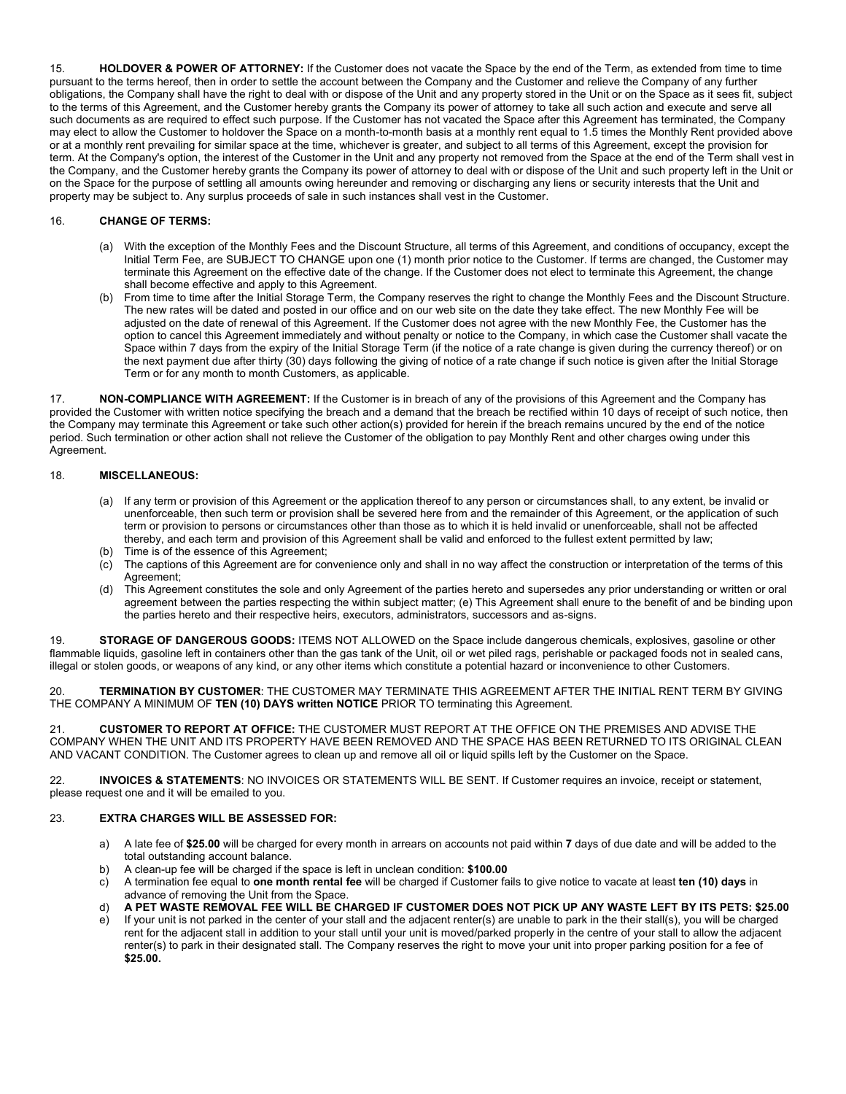15. **HOLDOVER & POWER OF ATTORNEY:** If the Customer does not vacate the Space by the end of the Term, as extended from time to time pursuant to the terms hereof, then in order to settle the account between the Company and the Customer and relieve the Company of any further obligations, the Company shall have the right to deal with or dispose of the Unit and any property stored in the Unit or on the Space as it sees fit, subject to the terms of this Agreement, and the Customer hereby grants the Company its power of attorney to take all such action and execute and serve all such documents as are required to effect such purpose. If the Customer has not vacated the Space after this Agreement has terminated, the Company may elect to allow the Customer to holdover the Space on a month-to-month basis at a monthly rent equal to 1.5 times the Monthly Rent provided above or at a monthly rent prevailing for similar space at the time, whichever is greater, and subject to all terms of this Agreement, except the provision for term. At the Company's option, the interest of the Customer in the Unit and any property not removed from the Space at the end of the Term shall vest in the Company, and the Customer hereby grants the Company its power of attorney to deal with or dispose of the Unit and such property left in the Unit or on the Space for the purpose of settling all amounts owing hereunder and removing or discharging any liens or security interests that the Unit and property may be subject to. Any surplus proceeds of sale in such instances shall vest in the Customer.

### 16. **CHANGE OF TERMS:**

- (a) With the exception of the Monthly Fees and the Discount Structure, all terms of this Agreement, and conditions of occupancy, except the Initial Term Fee, are SUBJECT TO CHANGE upon one (1) month prior notice to the Customer. If terms are changed, the Customer may terminate this Agreement on the effective date of the change. If the Customer does not elect to terminate this Agreement, the change shall become effective and apply to this Agreement.
- (b) From time to time after the Initial Storage Term, the Company reserves the right to change the Monthly Fees and the Discount Structure. The new rates will be dated and posted in our office and on our web site on the date they take effect. The new Monthly Fee will be adjusted on the date of renewal of this Agreement. If the Customer does not agree with the new Monthly Fee, the Customer has the option to cancel this Agreement immediately and without penalty or notice to the Company, in which case the Customer shall vacate the Space within 7 days from the expiry of the Initial Storage Term (if the notice of a rate change is given during the currency thereof) or on the next payment due after thirty (30) days following the giving of notice of a rate change if such notice is given after the Initial Storage Term or for any month to month Customers, as applicable.

17. **NON-COMPLIANCE WITH AGREEMENT:** If the Customer is in breach of any of the provisions of this Agreement and the Company has provided the Customer with written notice specifying the breach and a demand that the breach be rectified within 10 days of receipt of such notice, then the Company may terminate this Agreement or take such other action(s) provided for herein if the breach remains uncured by the end of the notice period. Such termination or other action shall not relieve the Customer of the obligation to pay Monthly Rent and other charges owing under this Agreement.

### 18. **MISCELLANEOUS:**

- (a) If any term or provision of this Agreement or the application thereof to any person or circumstances shall, to any extent, be invalid or unenforceable, then such term or provision shall be severed here from and the remainder of this Agreement, or the application of such term or provision to persons or circumstances other than those as to which it is held invalid or unenforceable, shall not be affected thereby, and each term and provision of this Agreement shall be valid and enforced to the fullest extent permitted by law;
- (b) Time is of the essence of this Agreement;
- (c) The captions of this Agreement are for convenience only and shall in no way affect the construction or interpretation of the terms of this Agreement;
- (d) This Agreement constitutes the sole and only Agreement of the parties hereto and supersedes any prior understanding or written or oral agreement between the parties respecting the within subject matter; (e) This Agreement shall enure to the benefit of and be binding upon the parties hereto and their respective heirs, executors, administrators, successors and as-signs.

19. **STORAGE OF DANGEROUS GOODS:** ITEMS NOT ALLOWED on the Space include dangerous chemicals, explosives, gasoline or other flammable liquids, gasoline left in containers other than the gas tank of the Unit, oil or wet piled rags, perishable or packaged foods not in sealed cans, illegal or stolen goods, or weapons of any kind, or any other items which constitute a potential hazard or inconvenience to other Customers.

20. **TERMINATION BY CUSTOMER**: THE CUSTOMER MAY TERMINATE THIS AGREEMENT AFTER THE INITIAL RENT TERM BY GIVING THE COMPANY A MINIMUM OF **TEN (10) DAYS written NOTICE** PRIOR TO terminating this Agreement.

21. **CUSTOMER TO REPORT AT OFFICE:** THE CUSTOMER MUST REPORT AT THE OFFICE ON THE PREMISES AND ADVISE THE COMPANY WHEN THE UNIT AND ITS PROPERTY HAVE BEEN REMOVED AND THE SPACE HAS BEEN RETURNED TO ITS ORIGINAL CLEAN AND VACANT CONDITION. The Customer agrees to clean up and remove all oil or liquid spills left by the Customer on the Space.

22. **INVOICES & STATEMENTS**: NO INVOICES OR STATEMENTS WILL BE SENT. If Customer requires an invoice, receipt or statement, please request one and it will be emailed to you.

#### 23. **EXTRA CHARGES WILL BE ASSESSED FOR:**

- a) A late fee of **\$25.00** will be charged for every month in arrears on accounts not paid within **7** days of due date and will be added to the total outstanding account balance.
- b) A clean-up fee will be charged if the space is left in unclean condition: **\$100.00**
- c) A termination fee equal to **one month rental fee** will be charged if Customer fails to give notice to vacate at least **ten (10) days** in advance of removing the Unit from the Space.
- d) **A PET WASTE REMOVAL FEE WILL BE CHARGED IF CUSTOMER DOES NOT PICK UP ANY WASTE LEFT BY ITS PETS: \$25.00**
- e) If your unit is not parked in the center of your stall and the adjacent renter(s) are unable to park in the their stall(s), you will be charged rent for the adjacent stall in addition to your stall until your unit is moved/parked properly in the centre of your stall to allow the adjacent renter(s) to park in their designated stall. The Company reserves the right to move your unit into proper parking position for a fee of **\$25.00.**